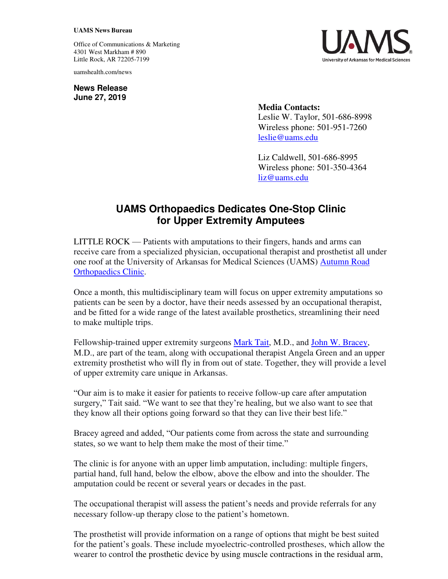## **UAMS News Bureau**

Office of Communications & Marketing 4301 West Markham # 890 Little Rock, AR 72205-7199

uamshealth.com/news

**News Release June 27, 2019**



**Media Contacts:**  Leslie W. Taylor, 501-686-8998 Wireless phone: 501-951-7260 [leslie@uams.edu](mailto:leslie@uams.edu)

Liz Caldwell, 501-686-8995 Wireless phone: 501-350-4364 [liz@uams.edu](mailto:liz@uams.edu)

## **UAMS Orthopaedics Dedicates One-Stop Clinic for Upper Extremity Amputees**

LITTLE ROCK — Patients with amputations to their fingers, hands and arms can receive care from a specialized physician, occupational therapist and prosthetist all under one roof at the University of Arkansas for Medical Sciences (UAMS) [Autumn Road](https://uamshealth.com/medicalservices/orthopedics/orthopedics-clinic-autumn-road/)  [Orthopaedics Clinic.](https://uamshealth.com/medicalservices/orthopedics/orthopedics-clinic-autumn-road/)

Once a month, this multidisciplinary team will focus on upper extremity amputations so patients can be seen by a doctor, have their needs assessed by an occupational therapist, and be fitted for a wide range of the latest available prosthetics, streamlining their need to make multiple trips.

Fellowship-trained upper extremity surgeons [Mark Tait,](http://doctors.uamshealth.com/Profile/?pid=3229&_ga=2.93057877.975923884.1559672566-573140613.1477086203) M.D., and [John W. Bracey,](http://doctors.uamshealth.com/Profile/?pid=3255&_ga=2.26914933.975923884.1559672566-573140613.1477086203) M.D., are part of the team, along with occupational therapist Angela Green and an upper extremity prosthetist who will fly in from out of state. Together, they will provide a level of upper extremity care unique in Arkansas.

"Our aim is to make it easier for patients to receive follow-up care after amputation surgery," Tait said. "We want to see that they're healing, but we also want to see that they know all their options going forward so that they can live their best life."

Bracey agreed and added, "Our patients come from across the state and surrounding states, so we want to help them make the most of their time."

The clinic is for anyone with an upper limb amputation, including: multiple fingers, partial hand, full hand, below the elbow, above the elbow and into the shoulder. The amputation could be recent or several years or decades in the past.

The occupational therapist will assess the patient's needs and provide referrals for any necessary follow-up therapy close to the patient's hometown.

The prosthetist will provide information on a range of options that might be best suited for the patient's goals. These include myoelectric-controlled prostheses, which allow the wearer to control the prosthetic device by using muscle contractions in the residual arm,